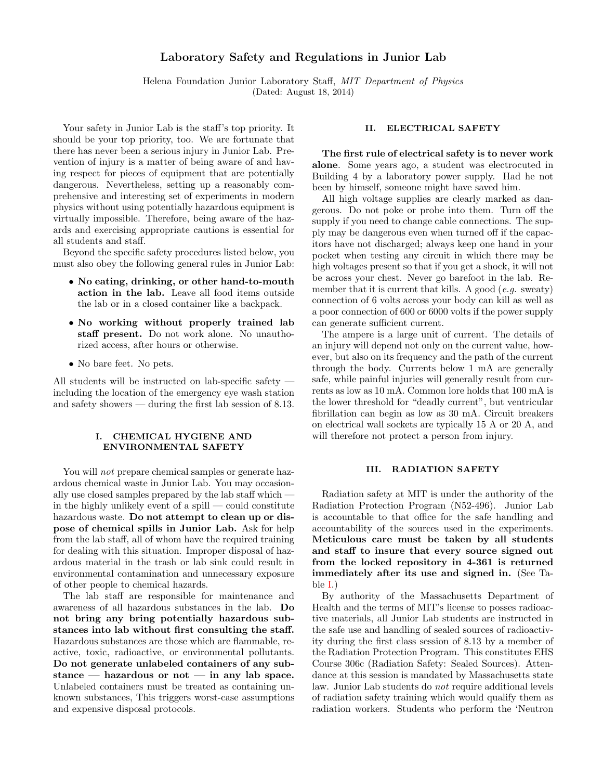# Laboratory Safety and Regulations in Junior Lab

Helena Foundation Junior Laboratory Staff, MIT Department of Physics (Dated: August 18, 2014)

Your safety in Junior Lab is the staff's top priority. It should be your top priority, too. We are fortunate that there has never been a serious injury in Junior Lab. Prevention of injury is a matter of being aware of and having respect for pieces of equipment that are potentially dangerous. Nevertheless, setting up a reasonably comprehensive and interesting set of experiments in modern physics without using potentially hazardous equipment is virtually impossible. Therefore, being aware of the hazards and exercising appropriate cautions is essential for all students and staff.

Beyond the specific safety procedures listed below, you must also obey the following general rules in Junior Lab:

- No eating, drinking, or other hand-to-mouth action in the lab. Leave all food items outside the lab or in a closed container like a backpack.
- No working without properly trained lab staff present. Do not work alone. No unauthorized access, after hours or otherwise.
- No bare feet. No pets.

All students will be instructed on lab-specific safety including the location of the emergency eye wash station and safety showers — during the first lab session of 8.13.

### I. CHEMICAL HYGIENE AND ENVIRONMENTAL SAFETY

You will *not* prepare chemical samples or generate hazardous chemical waste in Junior Lab. You may occasionally use closed samples prepared by the lab staff which in the highly unlikely event of a spill  $\sim$  could constitute hazardous waste. Do not attempt to clean up or dispose of chemical spills in Junior Lab. Ask for help from the lab staff, all of whom have the required training for dealing with this situation. Improper disposal of hazardous material in the trash or lab sink could result in environmental contamination and unnecessary exposure of other people to chemical hazards.

The lab staff are responsible for maintenance and awareness of all hazardous substances in the lab. Do not bring any bring potentially hazardous substances into lab without first consulting the staff. Hazardous substances are those which are flammable, reactive, toxic, radioactive, or environmental pollutants. Do not generate unlabeled containers of any substance — hazardous or not — in any lab space. Unlabeled containers must be treated as containing unknown substances, This triggers worst-case assumptions and expensive disposal protocols.

# II. ELECTRICAL SAFETY

The first rule of electrical safety is to never work alone. Some years ago, a student was electrocuted in Building 4 by a laboratory power supply. Had he not been by himself, someone might have saved him.

All high voltage supplies are clearly marked as dangerous. Do not poke or probe into them. Turn off the supply if you need to change cable connections. The supply may be dangerous even when turned off if the capacitors have not discharged; always keep one hand in your pocket when testing any circuit in which there may be high voltages present so that if you get a shock, it will not be across your chest. Never go barefoot in the lab. Remember that it is current that kills. A good  $(e.g.$  sweaty) connection of 6 volts across your body can kill as well as a poor connection of 600 or 6000 volts if the power supply can generate sufficient current.

The ampere is a large unit of current. The details of an injury will depend not only on the current value, however, but also on its frequency and the path of the current through the body. Currents below 1 mA are generally safe, while painful injuries will generally result from currents as low as 10 mA. Common lore holds that 100 mA is the lower threshold for "deadly current", but ventricular fibrillation can begin as low as 30 mA. Circuit breakers on electrical wall sockets are typically 15 A or 20 A, and will therefore not protect a person from injury.

## III. RADIATION SAFETY

Radiation safety at MIT is under the authority of the Radiation Protection Program (N52-496). Junior Lab is accountable to that office for the safe handling and accountability of the sources used in the experiments. Meticulous care must be taken by all students and staff to insure that every source signed out from the locked repository in 4-361 is returned immediately after its use and signed in. (See Table [I.](#page-1-0))

By authority of the Massachusetts Department of Health and the terms of MIT's license to posses radioactive materials, all Junior Lab students are instructed in the safe use and handling of sealed sources of radioactivity during the first class session of 8.13 by a member of the Radiation Protection Program. This constitutes EHS Course 306c (Radiation Safety: Sealed Sources). Attendance at this session is mandated by Massachusetts state law. Junior Lab students do not require additional levels of radiation safety training which would qualify them as radiation workers. Students who perform the 'Neutron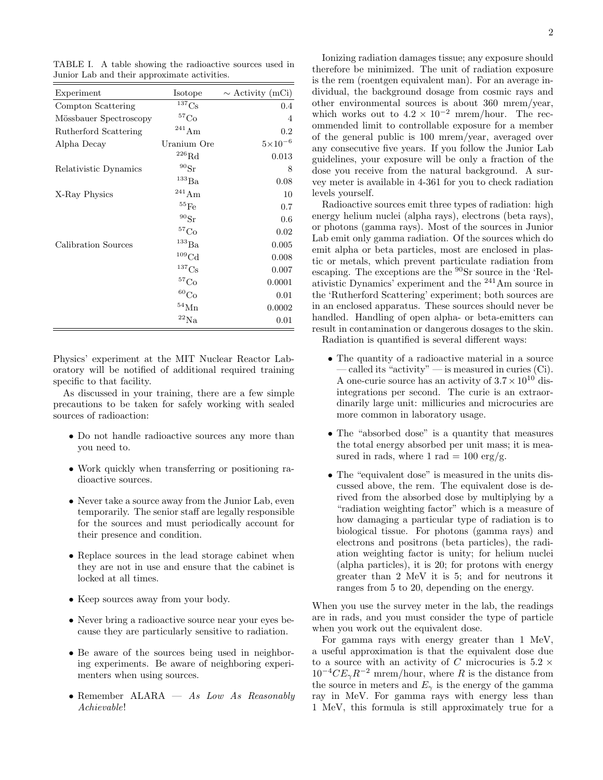| Experiment             | Isotope               | $\sim$ Activity (mCi) |
|------------------------|-----------------------|-----------------------|
| Compton Scattering     | ${}^{137}Cs$          | 0.4                   |
| Mössbauer Spectroscopy | ${}^{57}\mathrm{Co}$  | 4                     |
| Rutherford Scattering  | $^{241}\mathrm{Am}$   | 0.2                   |
| Alpha Decay            | Uranium Ore           | $5 \times 10^{-6}$    |
|                        | ${}^{226}\mathrm{Rd}$ | 0.013                 |
| Relativistic Dynamics  | $^{90}\rm{Sr}$        | 8                     |
|                        | $^{133}\mathrm{Ba}$   | 0.08                  |
| X-Ray Physics          | $^{241}\mathrm{Am}$   | 10                    |
|                        | $^{55}\mathrm{Fe}$    | 0.7                   |
|                        | $^{90}\rm{Sr}$        | 0.6                   |
|                        | $^{57}\mathrm{Co}$    | 0.02                  |
| Calibration Sources    | $^{133}\rm{Ba}$       | 0.005                 |
|                        | ${}^{109}\mathrm{Cd}$ | 0.008                 |
|                        | $^{137}\mathrm{Cs}$   | 0.007                 |
|                        | $^{57}\mathrm{Co}$    | 0.0001                |
|                        | $\rm ^{60}Co$         | 0.01                  |
|                        | $^{54}{\rm Mn}$       | 0.0002                |
|                        | $\rm ^{22}Na$         | 0.01                  |

<span id="page-1-0"></span>TABLE I. A table showing the radioactive sources used in Junior Lab and their approximate activities.

Physics' experiment at the MIT Nuclear Reactor Laboratory will be notified of additional required training specific to that facility.

As discussed in your training, there are a few simple precautions to be taken for safely working with sealed sources of radioaction:

- Do not handle radioactive sources any more than you need to.
- Work quickly when transferring or positioning radioactive sources.
- Never take a source away from the Junior Lab, even temporarily. The senior staff are legally responsible for the sources and must periodically account for their presence and condition.
- Replace sources in the lead storage cabinet when they are not in use and ensure that the cabinet is locked at all times.
- Keep sources away from your body.
- Never bring a radioactive source near your eyes because they are particularly sensitive to radiation.
- Be aware of the sources being used in neighboring experiments. Be aware of neighboring experimenters when using sources.
- Remember ALARA As Low As Reasonably Achievable!

Ionizing radiation damages tissue; any exposure should therefore be minimized. The unit of radiation exposure is the rem (roentgen equivalent man). For an average individual, the background dosage from cosmic rays and other environmental sources is about 360 mrem/year, which works out to  $4.2 \times 10^{-2}$  mrem/hour. The recommended limit to controllable exposure for a member of the general public is 100 mrem/year, averaged over any consecutive five years. If you follow the Junior Lab guidelines, your exposure will be only a fraction of the dose you receive from the natural background. A survey meter is available in 4-361 for you to check radiation levels yourself.

Radioactive sources emit three types of radiation: high energy helium nuclei (alpha rays), electrons (beta rays), or photons (gamma rays). Most of the sources in Junior Lab emit only gamma radiation. Of the sources which do emit alpha or beta particles, most are enclosed in plastic or metals, which prevent particulate radiation from escaping. The exceptions are the <sup>90</sup>Sr source in the 'Relativistic Dynamics' experiment and the <sup>241</sup>Am source in the 'Rutherford Scattering' experiment; both sources are in an enclosed apparatus. These sources should never be handled. Handling of open alpha- or beta-emitters can result in contamination or dangerous dosages to the skin.

Radiation is quantified is several different ways:

- The quantity of a radioactive material in a source — called its "activity" — is measured in curies (Ci). A one-curie source has an activity of  $3.7 \times 10^{10}$  disintegrations per second. The curie is an extraordinarily large unit: millicuries and microcuries are more common in laboratory usage.
- The "absorbed dose" is a quantity that measures the total energy absorbed per unit mass; it is measured in rads, where 1 rad  $= 100 \text{ erg/g}$ .
- The "equivalent dose" is measured in the units discussed above, the rem. The equivalent dose is derived from the absorbed dose by multiplying by a "radiation weighting factor" which is a measure of how damaging a particular type of radiation is to biological tissue. For photons (gamma rays) and electrons and positrons (beta particles), the radiation weighting factor is unity; for helium nuclei (alpha particles), it is 20; for protons with energy greater than 2 MeV it is 5; and for neutrons it ranges from 5 to 20, depending on the energy.

When you use the survey meter in the lab, the readings are in rads, and you must consider the type of particle when you work out the equivalent dose.

For gamma rays with energy greater than 1 MeV, a useful approximation is that the equivalent dose due to a source with an activity of C microcuries is  $5.2 \times$  $10^{-4}CE_{\gamma}R^{-2}$  mrem/hour, where R is the distance from the source in meters and  $E_{\gamma}$  is the energy of the gamma ray in MeV. For gamma rays with energy less than 1 MeV, this formula is still approximately true for a